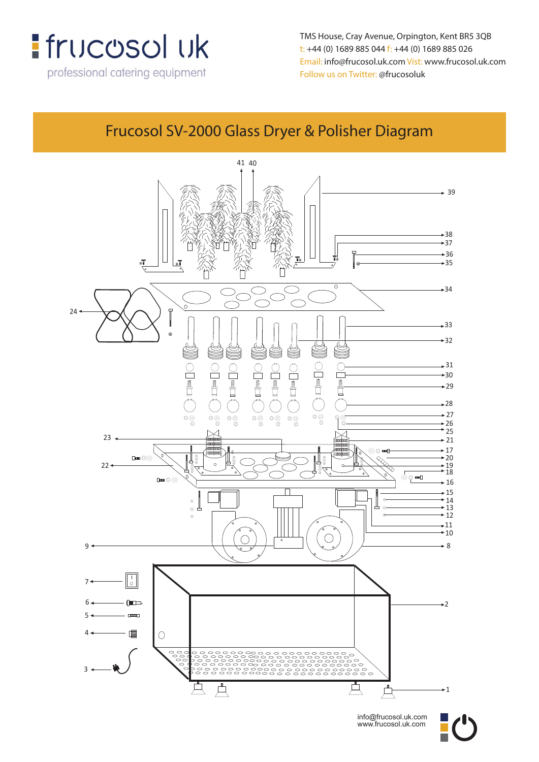

TMS House, Cray Avenue, Orpington, Kent BR5 3QB **TMS House, Crey Avenue, Orpington, Kent, BR5 3QB** t: +44 (0) 1689 885 044 f: +44 (0) 1689 885 026 **t: +44 (0) 1689 885 044 f: +44 (0) 1689 885 026** Email: info@frucosol.uk.com Vist: www.frucosol.uk.com **Email: info@frucosol.uk.com Vist: www.frucosol.uk.com** Follow us on Twitter: @frucosoluk **Follow us on Twitter: @frucosoluk**

#### **Frucosol SV-2000 Glass Dryer & Polisher Diagram** Frucosol SV-2000 Glass Dryer & Polisher Diagram



info@frucosol.uk.com www.frucosol.uk.com

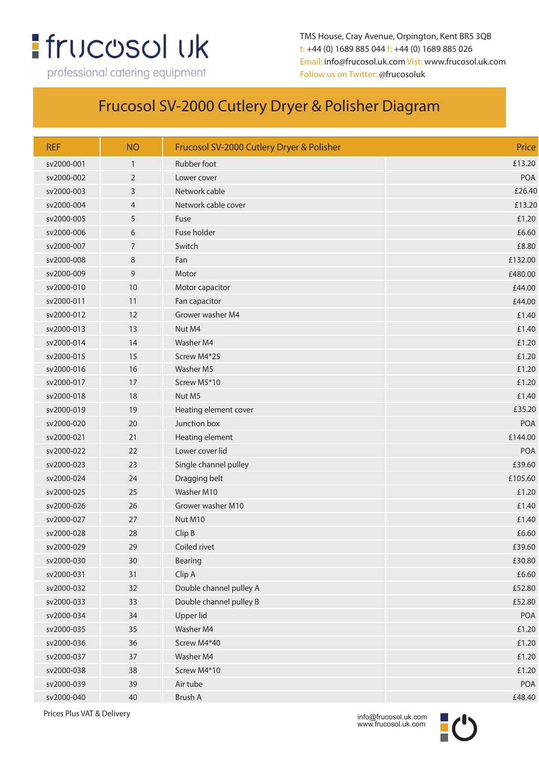# **:** frucosol uk

professional catering equipment

TMS House, Cray Avenue, Orpington, Kent BR5 3QB t: +44 (0) 1689 885 044 f: +44 (0) 1689 885 026 Email: info@frucosol.uk.com Vist: www.frucosol.uk.com Follow us on Twitter: @frucosoluk

#### Frucosol SV-2000 Cutlery Dryer & Polisher Diagram

| <b>REF</b> | <b>NO</b>      | Frucosol SV-2000 Cutlery Dryer & Polisher | Price      |
|------------|----------------|-------------------------------------------|------------|
| sv2000-001 | $\mathbf{1}$   | Rubber foot                               | £13.20     |
| sv2000-002 | $\overline{2}$ | Lower cover                               | <b>POA</b> |
| sv2000-003 | 3              | Network cable                             | £26.40     |
| sv2000-004 | 4              | Network cable cover                       | £13.20     |
| sv2000-005 | 5              | Fuse                                      | £1.20      |
| sv2000-006 | 6              | Fuse holder                               | £6.60      |
| sv2000-007 | 7              | Switch                                    | £8.80      |
| sv2000-008 | 8              | Fan                                       | £132.00    |
| sv2000-009 | 9              | Motor                                     | £480.00    |
| sv2000-010 | 10             | Motor capacitor                           | £44.00     |
| sv2000-011 | 11             | Fan capacitor                             | £44.00     |
| sv2000-012 | 12             | Grower washer M4                          | £1.40      |
| sv2000-013 | 13             | Nut M4                                    | £1.40      |
| sv2000-014 | 14             | Washer M4                                 | £1.20      |
| sv2000-015 | 15             | Screw M4*25                               | £1.20      |
| sv2000-016 | 16             | Washer M5                                 | £1.20      |
| sv2000-017 | 17             | Screw M5*10                               | £1.20      |
| sv2000-018 | 18             | Nut M5                                    | £1.40      |
| sv2000-019 | 19             | Heating element cover                     | £35.20     |
| sv2000-020 | 20             | Junction box                              | <b>POA</b> |
| sv2000-021 | 21             | Heating element                           | £144.00    |
| sv2000-022 | 22             | Lower cover lid                           | POA        |
| sv2000-023 | 23             | Single channel pulley                     | £39.60     |
| sv2000-024 | 24             | Dragging belt                             | £105.60    |
| sv2000-025 | 25             | Washer M10                                | £1.20      |
| sv2000-026 | 26             | Grower washer M10                         | £1.40      |
| sv2000-027 | 27             | Nut M10                                   | £1.40      |
| sv2000-028 | 28             | Clip B                                    | £6.60      |
| sv2000-029 | 29             | Coiled rivet                              | £39.60     |
| sv2000-030 | 30             | Bearing                                   | £30.80     |
| sv2000-031 | 31             | Clip A                                    | £6.60      |
| sv2000-032 | 32             | Double channel pulley A                   | £52.80     |
| sv2000-033 | 33             | Double channel pulley B                   | £52.80     |
| sv2000-034 | 34             | Upper lid                                 | POA        |
| sv2000-035 | 35             | Washer M4                                 | £1.20      |
| sv2000-036 | 36             | Screw M4*40                               | £1.20      |
| sv2000-037 | 37             | Washer M4                                 | £1.20      |
| sv2000-038 | 38             | Screw M4*10                               | £1.20      |
| sv2000-039 | 39             | Air tube                                  | POA        |
| sv2000-040 | 40             | Brush A                                   | £48.40     |

Prices Plus VAT & Delivery